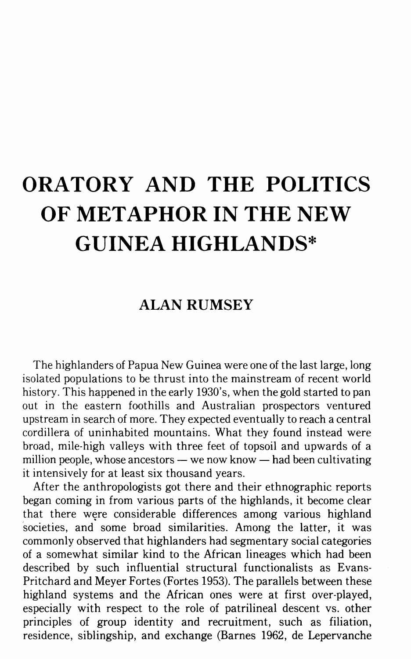# **ORATORY AND THE POLITICS OF METAPHOR IN THE NEW GUINEA HIGHLANDS\***

## **ALAN RUMSEY**

The highlanders of Papua New Guinea were one of the last large, long isolated populations to be thrust into the mainstream of recent world history. This happened in the early 1930's, when the gold started to pan out in the eastern foothills and Australian prospectors ventured upstream in search of more. They expected eventually to reach a central cordillera of uninhabited mountains. What they found instead were broad, mile-high valleys with three feet of topsoil and upwards of a million people, whose ancestors  $-\omega$  we now know  $-\omega$  had been cultivating it intensively for at least six thousand years.

After the anthropologists got there and their ethnographic reports began coming in from various parts of the highlands, it become clear that there were considerable differences among various highland societies, and some broad similarities. Among the latter, it was commonly observed that highlanders had segmentary social categories of a somewhat similar kind to the African lineages which had been described by such influential structural functionalists as Evans-Pritchard and Meyer Fortes (Fortes 1953). The parallels between these highland systems and the African ones were at first over-played, especially with respect to the role of patrilineal descent vs. other principles of group identity and recruitment, such as filiation, residence, siblingship, and exchange (Barnes 1962, de Lepervanche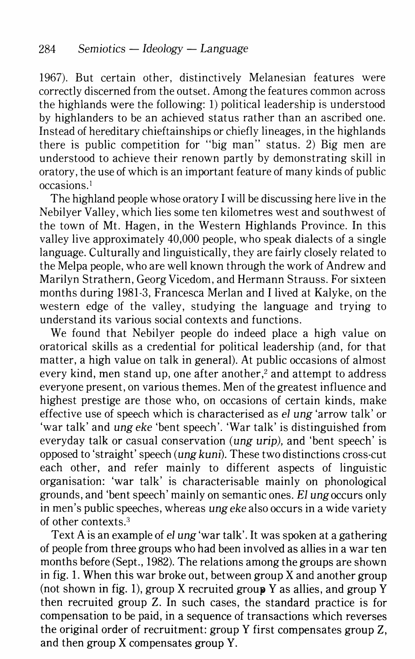1967). But certain other, distinctively Melanesian features were correctly discerned from the outset. Among the features common across the highlands were the following: 1) political leadership is understood by highlanders to be an achieved status rather than an ascribed one. Instead of hereditary chieftainships or chiefly lineages, in the highlands there is public competition for "big man" status. 2) Big men are understood to achieve their renown partly by demonstrating skill in oratory, the use of which is an important feature of many kinds of public occasions. <sup>1</sup>

The highland people whose oratory I will be discussing here live in the Nebilyer Valley, which lies some ten kilometres west and southwest of the town of Mt. Hagen, in the Western Highlands Province. In this valley live approximately 40,000 people, who speak dialects of a single language. Culturally and linguistically, they are fairly closely related to the Melpa people, who are well known through the work of Andrew and Marilyn Strathern, GeorgVicedom, and Hermann Strauss. For sixteen months during 1981-3, Francesca Merlan and I lived at Kalyke, on the western edge of the valley, studying the language and trying to understand its various social contexts and functions.

We found that Nebilyer people do indeed place a high value on oratorical skills as a credential for political leadership (and, for that matter, a high value on talk in general). At public occasions of almost every kind, men stand up, one after another, $<sup>2</sup>$  and attempt to address</sup> everyone present, on various themes. Men of the greatest influence and highest prestige are those who, on occasions of certain kinds, make effective use of speech which is characterised as *el ung* 'arrow talk' or 'war talk' and *ung eke* 'bent speech'. 'War talk' is distinguished from everyday talk or casual conservation (ung urip), and 'bent speech' is opposed to 'straight' speech (ung kuni)\_ These two distinctions cross-cut each other, and refer mainly to different aspects of linguistic organisation: 'war talk' is characterisable mainly on phonological grounds, and 'bent speech' mainly on semantic ones. El ungoccurs only in men's public speeches, whereas *ungeke* also occurs in a wide variety of other contexts.3

Text A is an example of *el ung* 'war talk'. It was spoken at a gathering of people from three groups who had been involved as allies in a war ten months before (Sept., 1982). The relations among the groups are shown in fig. 1. When this war broke out, between group X and another group (not shown in fig. 1), group X recruited group Y as allies, and group Y then recruited group Z. In such cases, the standard practice is for compensation to be paid, in a sequence of transactions which reverses the original order of recruitment: group Y first compensates group Z, and then group X compensates group Y.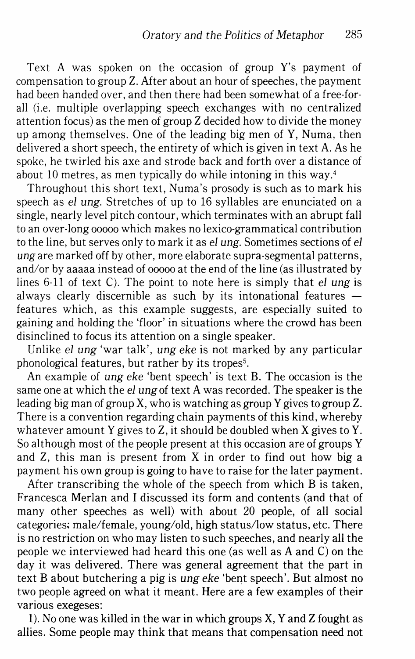Text A was spoken on the occasion of group Y's payment of compensation to group Z. After about an hour of speeches, the payment had been handed over, and then there had been somewhat of a free-for· all (i.e. multiple overlapping speech exchanges with no centralized attention focus) as the men of group Z decided how to divide the money up among themselves. One of the leading big men of Y, Numa, then delivered a short speech, the entirety of which is given in text A. As he spoke, he twirled his axe and strode back and forth over a distance of about 10 metres, as men typically do while intoning in this way.<sup>4</sup>

Throughout this short text, Numa's prosody is such as to mark his speech as *el ung.* Stretches of up to 16 syllables are enunciated on a single, nearly level pitch contour, which terminates with an abrupt fall to an over-long ooooo which makes no lexico·grammatical contribution to the line, but serves only to mark it as *el ung.* Sometimes sections of *el ung* are marked off by other, more elaborate supra-segmental patterns, and/or by aaaaa instead of ooooo at the end of the line (as illustrated by lines 6·11 of text C). The point to note here is simply that *el ung* is always clearly discernible as such by its intonational features  $$ features which, as this example suggests, are especially suited to gaining and holding the 'floor' in situations where the crowd has been disinclined to focus its attention on a single speaker.

Unlike *el ung* 'war talk', *ung eke* is not marked by any particular phonological features, but rather by its tropes<sup>5</sup>.

An example of *ung eke* 'bent speech' is text B. The occasion is the same one at which the *el ung* of text A was recorded. The speaker is the leading big man of group X, who is watching as group Y gives to group Z. There is a convention regarding chain payments of this kind, whereby whatever amount Y gives to Z, it should be doubled when X gives toY. So although most of the people present at this occasion are of groups Y and Z, this man is present from X in order to find out how big a payment his own group is going to have to raise for the later payment.

After transcribing the whole of the speech from which B is taken, Francesca Merlan and I discussed its form and contents (and that of many other speeches as well) with about 20 people, of all social categories: male/female, young/old, high status/low status, etc. There is no restriction on who may listen to such speeches, and nearly all the people we interviewed had heard this one (as well as A and C) on the day it was delivered. There was general agreement that the part in text B about butchering a pig is *ung eke* 'bent speech'. But almost no two people agreed on what it meant. Here are a few examples of their various exegeses:

1). No one was killed in the war in which groups X, Y and Z fought as allies. Some people may think that means that compensation need not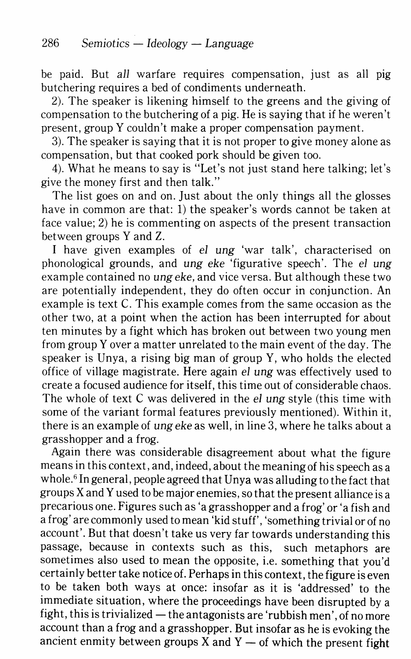be paid. But *all* warfare requires compensation, just as all pig butchering requires a bed of condiments underneath.

2). The speaker is likening himself to the greens and the giving of compensation to the butchering of a pig. He is saying that if he weren't present, group Y couldn't make a proper compensation payment.

3). The speaker is saying that it is not proper to give money alone as compensation, but that cooked pork should be given too.

4). What he means to say is "Let's not just stand here talking; let's give the money first and then talk."

The list goes on and on. Just about the only things all the glosses have in common are that: 1) the speaker's words cannot be taken at face value; 2) he is commenting on aspects of the present transaction between groups Y and Z.

I have given examples of *el ung* 'war talk', characterised on phonological grounds, and ung *eke* 'figurative speech'. The *el* ung example contained no ung *eke,* and vice versa. But although these two are potentially independent, they do often occur in conjunction. An example is text C. This example comes from the same occasion as the other two, at a point when the action has been interrupted for about ten minutes by a fight which has broken out between two young men from group Y over a matter unrelated to the main event of the day. The speaker is Unya, a rising big man of group Y, who holds the elected office of village magistrate. Here again *el* ung was effectively used to create a focused audience for itself, this time out of considerable chaos. The whole of text C was delivered in the *el* ung style (this time with some of the variant formal features previously mentioned). Within it, there is an example of ung *eke* as well, in line 3, where he talks about a grasshopper and a frog.

Again there was considerable disagreement about what the figure means in this context, and, indeed, about the meaning of his speech as a whole.<sup>6</sup> In general, people agreed that Unya was alluding to the fact that groups X andY used to be major enemies, so that the present alliance is a precarious one. Figures such as 'a grasshopper and a frog' or 'a fish and a frog' are commonly used to mean 'kid stuff', 'something trivial or of no account'. But that doesn't take us very far towards understanding this passage, because in contexts such as this, such metaphors are sometimes also used to mean the opposite, i.e. something that you'd certainly better take notice of. Perhaps in this context, the figure is even to be taken both ways at once: insofar as it is 'addressed' to the immediate situation, where the proceedings have been disrupted by a fight, this is trivialized  $-$  the antagonists are 'rubbish men', of no more account than a frog and a grasshopper. But insofar as he is evoking the ancient enmity between groups  $X$  and  $Y$  — of which the present fight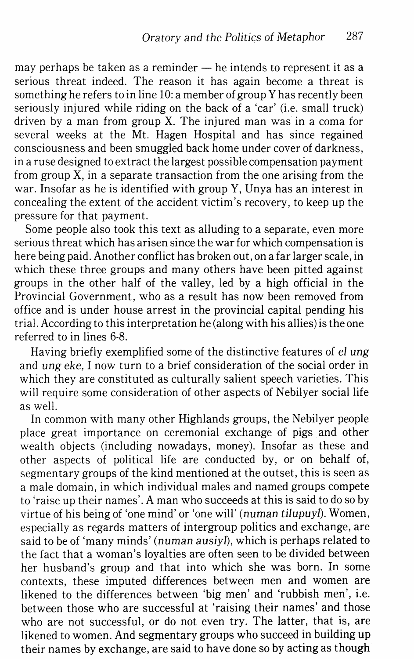may perhaps be taken as a reminder — he intends to represent it as a serious threat indeed. The reason it has again become a threat is something he refers to in line 10: a member of group Y has recently been seriously injured while riding on the back of a 'car' (i.e. small truck) driven by a man from group X. The injured man was in a coma for several weeks at the Mt. Hagen Hospital and has since regained consciousness and been smuggled back home under cover of darkness, in a ruse designed to extract the largest possible compensation payment from group X, in a separate transaction from the one arising from the war. Insofar as he is identified with group Y, Unya has an interest in concealing the extent of the accident victim's recovery, to keep up the pressure for that payment.

Some people also took this text as alluding to a separate, even more serious threat which has arisen since the war for which compensation is here being paid. Another conflict has broken out, on a far larger scale, in which these three groups and many others have been pitted against groups in the other half of the valley, led by a high official in the Provincial Government, who as a result has now been removed from office and is under house arrest in the provincial capital pending his trial. According to this interpretation he (along with his allies) is the one referred to in lines 6-8.

Having briefly exemplified some of the distinctive features of *el* ung and ung *eke,* I now turn to a brief consideration of the social order in which they are constituted as culturally salient speech varieties. This will require some consideration of other aspects of Nebilyer social life as well.

In common with many other Highlands groups, the Nebilyer people place great importance on ceremonial exchange of pigs and other wealth objects (including nowadays, money). Insofar as these and other aspects of political life are conducted by, or on behalf of, segmentary groups of the kind mentioned at the outset, this is seen as a male domain, in which individual males and named groups compete to 'raise up their names'. A man who succeeds at this is said to do so by virtue of his being of 'one mind' or 'one will' (numan *tilupuyl).* Women, especially as regards matters of intergroup politics and exchange, are said to be of 'many minds' (numan ausiyl), which is perhaps related to the fact that a woman's loyalties are often seen to be divided between her husband's group and that into which she was born. In some contexts, these imputed differences between men and women are likened to the differences between 'big men' and 'rubbish men', i.e. between those who are successful at 'raising their names' and those who are not successful, or do not even try. The latter, that is, are likened to women. And segmentary groups who succeed in building up their names by exchange, are said to have done so by acting as though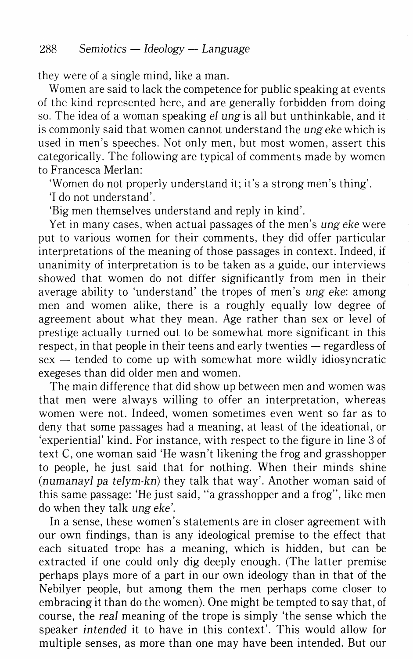they were of a single mind, like a man.

Women are said to lack the competence for public speaking at events of the kind represented here, and are generally forbidden from doing so. The idea of a woman speaking *el ung* is all but unthinkable, and it is commonly said that women cannot understand the *ung eke* which is used in men's speeches. Not only men, but most women, assert this categorically. The following are typical of comments made by women to Francesca Merlan:

'Women do not properly understand it; it's a strong men's thing'.

'I do not understand'.

'Big men themselves understand and reply in kind'.

Yet in many cases, when actual passages of the men's *ung eke* were put to various women for their comments, they did offer particular interpretations of the meaning of those passages in context. Indeed, if unanimity of interpretation is to be taken as a guide, our interviews showed that women do not differ significantly from men in their average ability to 'understand' the tropes of men's *ung eke:* among men and women alike, there is a roughly equally low degree of agreement about what they mean. Age rather than sex or level of prestige actually turned out to be somewhat more significant in this respect, in that people in their teens and early twenties — regardless of  $sex$  - tended to come up with somewhat more wildly idiosyncratic exegeses than did older men and women.

The main difference that did show up between men and women was that men were always willing to offer an interpretation, whereas women were not. Indeed, women sometimes even went so far as to deny that some passages had a meaning, at least of the ideational, or 'experiential' kind. For instance, with respect to the figure in line 3 of text C, one woman said 'He wasn't likening the frog and grasshopper to people, he just said that for nothing. When their minds shine *(numanayl pa telym-kn)* they talk that way'. Another woman said of this same passage: 'He just said, "a grasshopper and a frog", like men do when they talk *ung eke'.* 

In a sense, these women's statements are in closer agreement with our own findings, than is any ideological premise to the effect that each situated trope has *a* meaning, which is hidden, but can be extracted if one could only dig deeply enough. (The latter premise perhaps plays more of a part in our own ideology than in that of the Nebilyer people, but among them the men perhaps come closer to embracing it than do the women). One might be tempted to say that, of course, the *real* meaning of the trope is simply 'the sense which the speaker intended it to have in this context'. This would allow for multiple senses, as more than one may have been intended. But our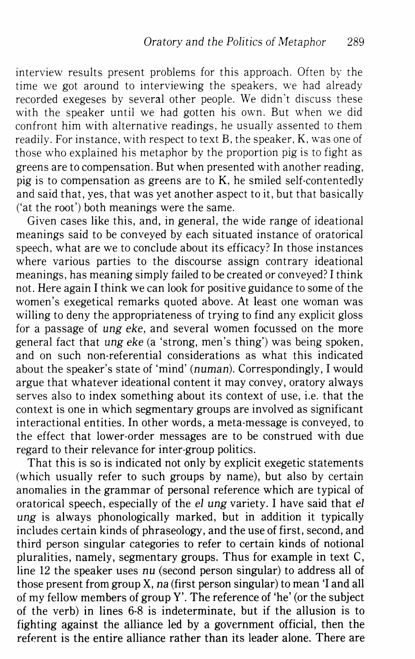interview results present problems for this approach. Often by the time we got around to interviewing the speakers, we had already recorded exegeses by several other people. We didn't discuss these with the speaker until we had gotten his own. But when we did confront him with alternative readings, he usually assented to them readily. For instance, with respect to text B, the speaker, K, was one of those who explained his metaphor by the proportion pig is to fight as greens are to compensation. But when presented with another reading, pig is to compensation as greens are to K, he smiled self-contentedly and said that, yes, that was yet another aspect to it, but that basically ('at the root') both meanings were the same.

Given cases like this, and, in general, the wide range of ideational meanings said to be conveyed by each situated instance of oratorical speech, what are we to conclude about its efficacy? In those instances where various parties to the discourse assign contrary ideational meanings, has meaning simply failed to be created or conveyed? I think not. Here again I think we can look for positive guidance to some of the women's exegetical remarks quoted above. At least one woman was willing to deny the appropriateness of trying to find any explicit gloss for a passage of *ung eke,* and several women focussed on the more general fact that *ung eke* (a 'strong, men's thing') was being spoken, and on such non-referential considerations as what this indicated about the speaker's state of 'mind' (numan). Correspondingly, I would argue that whatever ideational content it may convey, oratory always serves also to index something about its context of use, i.e. that the context is one in which segmentary groups are involved as significant interactional entities. In other words, a meta-message is conveyed, to the effect that lower-order messages are to be construed with due regard to their relevance for inter-group politics.

That this is so is indicated not only by explicit exegetic statements (which usually refer to such groups by name), but also by certain anomalies in the grammar of personal reference which are typical of oratorical speech, especially of the *el ung* variety. I have said that *el ung* is always phonologically marked, but in addition it typically includes certain kinds of phraseology, and the use of first, second, and third person singular categories to refer to certain kinds of notional pluralities, namely, segmentary groups. Thus for example in text C, line 12 the speaker uses *nu* (second person singular) to address all of those present from group X, *na* (first person singular) to mean 'I and all of my fellow members of group Y'. The reference of 'he' (or the subject of the verb) in lines 6-8 is indeterminate, but if the allusion is to fighting against the alliance led by a government official, then the referent is the entire alliance rather than its leader alone. There are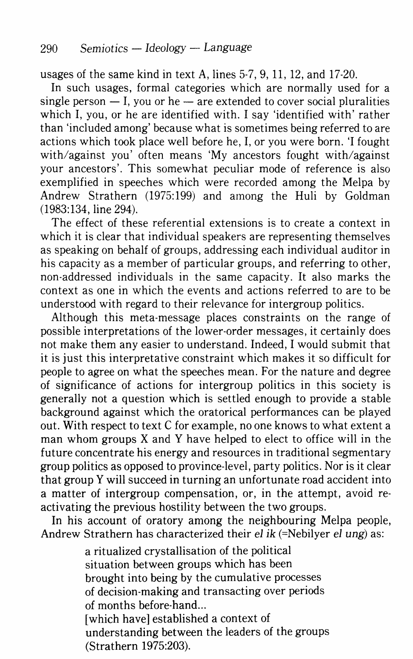usages of the same kind in text A, lines 5-7, 9, 11, 12, and 17-20.

In such usages, formal categories which are normally used for a single person  $- I$ , you or he  $-$  are extended to cover social pluralities which I, you, or he are identified with. I say 'identified with' rather than 'included among' because what is sometimes being referred to are actions which took place well before he, I, or you were born. 'I fought with/against you' often means 'My ancestors fought with/against your ancestors'. This somewhat peculiar mode of reference is also exemplified in speeches which were recorded among the Melpa by Andrew Strathern (1975:199) and among the Huli by Goldman (1983:134, line 294).

The effect of these referential extensions is to create a context in which it is clear that individual speakers are representing themselves as speaking on behalf of groups, addressing each individual auditor in his capacity as a member of particular groups, and referring to other, non-addressed individuals in the same capacity. It also marks the context as one in which the events and actions referred to are to be understood with regard to their relevance for intergroup politics.

Although this meta-message places constraints on the range of possible interpretations of the lower-order messages, it certainly does not make them any easier to understand. Indeed, I would submit that it is just this interpretative constraint which makes it so difficult for people to agree on what the speeches mean. For the nature and degree of significance of actions for intergroup politics in this society is generally not a question which is settled enough to provide a stable background against which the oratorical performances can be played out. With respect to text C for example, no one knows to what extent a man whom groups  $X$  and  $Y$  have helped to elect to office will in the future concentrate his energy and resources in traditional segmentary group politics as opposed to province-level, party politics. Nor is it clear that group Y will succeed in turning an unfortunate road accident into a matter of intergroup compensation, or, in the attempt, avoid reactivating the previous hostility between the two groups.

In his account of oratory among the neighbouring Melpa people, Andrew Strathern has characterized their *el ik* (=Nebilyer *el ung)* as:

> a ritualized crystallisation of the political situation between groups which has been brought into being by the cumulative processes of decision-making and transacting over periods of months before-hand... [which have] established a context of understanding between the leaders of the groups (Strathern 1975:203).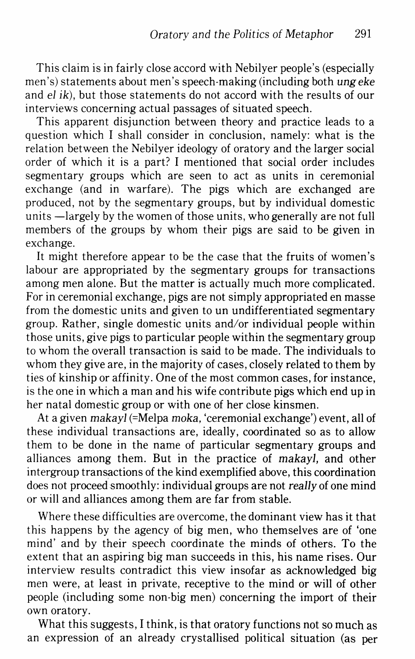This claim is in fairly close accord with Nebilyer people's (especially men's) statements about men's speech -making (including both *ung* eke and *el* ik), but those statements do not accord with the results of our interviews concerning actual passages of situated speech.

This apparent disjunction between theory and practice leads to a question which I shall consider in conclusion, namely: what is the relation between the Nebilyer ideology of oratory and the larger social order of which it is a part? I mentioned that social order includes segmentary groups which are seen to act as units in ceremonial exchange (and in warfare). The pigs which are exchanged are produced, not by the segmentary groups, but by individual domestic units —largely by the women of those units, who generally are not full members of the groups by whom their pigs are said to be given in exchange.

It might therefore appear to be the case that the fruits of women's labour are appropriated by the segmentary groups for transactions among men alone. But the matter is actually much more complicated. For in ceremonial exchange, pigs are not simply appropriated en masse from the domestic units and given to un undifferentiated segmentary group. Rather, single domestic units and/or individual people within those units, give pigs to particular people within the segmentary group to whom the overall transaction is said to be made. The individuals to whom they give are, in the majority of cases, closely related to them by ties of kinship or affinity. One of the most common cases, for instance, is the one in which a man and his wife contribute pigs which end up in her natal domestic group or with one of her close kinsmen.

At a given *makayl* (=Melpa *moka,* 'ceremonial exchange') event, all of these individual transactions are, ideally, coordinated so as to allow them to be done in the name of particular segmentary groups and alliances among them. But in the practice of *makayl,* and other intergroup transactions of the kind exemplified above, this coordination does not proceed smoothly: individual groups are not *really* of one mind or will and alliances among them are far from stable.

Where these difficulties are overcome, the dominant view has it that this happens by the agency of big men, who themselves are of 'one mind' and by their speech coordinate the minds of others. To the extent that an aspiring big man succeeds in this, his name rises. Our interview results contradict this view insofar as acknowledged big men were, at least in private, receptive to the mind or will of other people (including some non-big men) concerning the import of their own oratory.

What this suggests, I think, is that oratory functions not so much as an expression of an already crystallised political situation (as per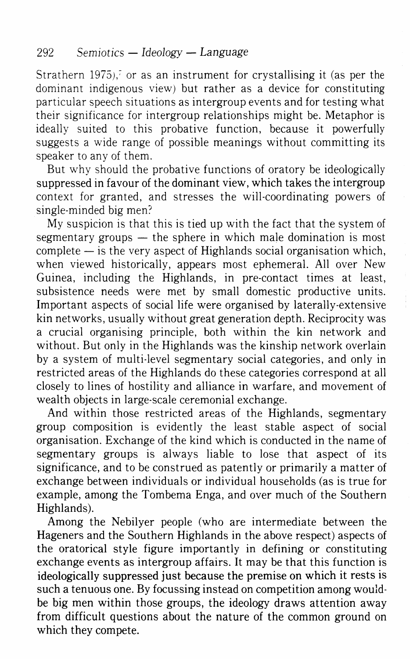Strathern  $1975$ ),<sup> $\overline{\ }$ </sup> or as an instrument for crystallising it (as per the dominant indigenous view) but rather as a device for constituting particular speech situations as intergroup events and for testing what their significance for intergroup relationships might be. Metaphor is ideally suited to this probative function, because it powerfully suggests a wide range of possible meanings without committing its speaker to any of them.

But why should the probative functions of oratory be ideologically suppressed in favour of the dominant view, which takes the intergroup context for granted, and stresses the will-coordinating powers of single-minded big men?

My suspicion is that this is tied up with the fact that the system of segmentary groups  $-$  the sphere in which male domination is most  $complete - is$  the very aspect of Highlands social organisation which, when viewed historically, appears most ephemeral. All over New Guinea, including the Highlands, in pre-contact times at least, subsistence needs were met by small domestic productive units. Important aspects of social life were organised by laterally-extensive kin networks, usually without great generation depth. Reciprocity was a crucial organising principle, both within the kin network and without. But only in the Highlands was the kinship network overlain by a system of multi-level segmentary social categories, and only in restricted areas of the Highlands do these categories correspond at all closely to lines of hostility and alliance in warfare, and movement of wealth objects in large-scale ceremonial exchange.

And within those restricted areas of the Highlands, segmentary group composition is evidently the least stable aspect of social organisation. Exchange of the kind which is conducted in the name of segmentary groups is always liable to lose that aspect of its significance, and to be construed as patently or primarily a matter of exchange between individuals or individual households (as is true for example, among the Tombema Enga, and over much of the Southern Highlands).

Among the Nebilyer people (who are intermediate between the Hageners and the Southern Highlands in the above respect) aspects of the oratorical style figure importantly in defining or constituting exchange events as intergroup affairs. It may be that this function is ideologically suppressed just because the premise on which it rests is such a tenuous one. By focussing instead on competition among wouldbe big men within those groups, the ideology draws attention away from difficult questions about the nature of the common ground on which they compete.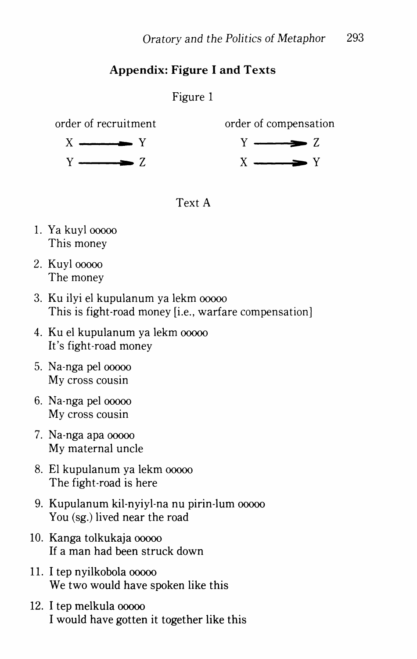## **Appendix: Figure I and** Texts

## Figure 1

 $X \longrightarrow Y$  $Y \longrightarrow Z$ 





- 1. Ya kuyl ooooo This money
- 2. Kuyl 00000 The money
- 3. Ku ilyi el kupulanum ya lekm ooooo This is fight-road money [i.e., warfare compensation]
- 4. Ku el kupulanum ya lekm ooooo It's fight-road money
- 5. Na-nga pel ooooo My cross cousin
- 6. Na-nga pel ooooo My cross cousin
- 7. Na-nga apa ooooo My maternal uncle
- 8. El kupulanum ya lekm ooooo The fight-road is here
- 9. Kupulanum kil-nyiyl-na nu pirin-lum ooooo You (sg.) lived near the road
- 10. Kanga tolkukaja ooooo If a man had been struck down
- 11. I tep nyilkobola ooooo We two would have spoken like this
- 12. I tep melkula ooooo I would have gotten it together like this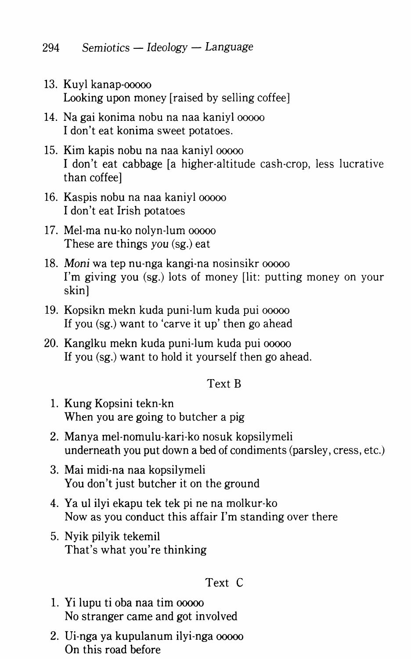- 13. Kuyl kanap-ooooo Looking upon money [raised by selling coffee]
- 14. Nagai konima nobu na naa kaniyl ooooo I don't eat konima sweet potatoes.
- 15. Kim kapis nobu na naa kaniyl ooooo I don't eat cabbage [a higher-altitude cash-crop, less lucrative than coffee]
- 16. Kaspis nobu na naa kaniyl ooooo I don't eat Irish potatoes
- 17. Mel-rna nu-ko nolyn-lum ooooo These are things you (sg.) eat
- 18. Moni wa tep nu·nga kangi-na nosinsikr ooooo I'm giving you (sg.) lots of money [lit: putting money on your skin]
- 19. Kopsikn mekn kuda puni-lum kuda pui ooooo If you (sg.) want to 'carve it up' then go ahead
- 20. Kanglku mekn kuda puni·lum kuda pui ooooo If you (sg.) want to hold it yourself then go ahead.

### Text B

- 1. Kung Kopsini tekn-kn When you are going to butcher a pig
- 2. Manya mel-nomulu-kari·ko nosuk kopsilymeli underneath you put down a bed of condiments (parsley, cress, etc.)
- 3. Mai midi-na naa kopsilymeli You don't just butcher it on the ground
- 4. Ya ul ilyi ekapu tek tek pine na molkur-ko Now as you conduct this affair I'm standing over there
- 5. Nyik pilyik tekemil That's what you're thinking

### Text C

- 1. Yi lupu ti oba naa tim ooooo No stranger came and got involved
- 2. Ui-nga ya kupulanum ilyi-nga ooooo On this road before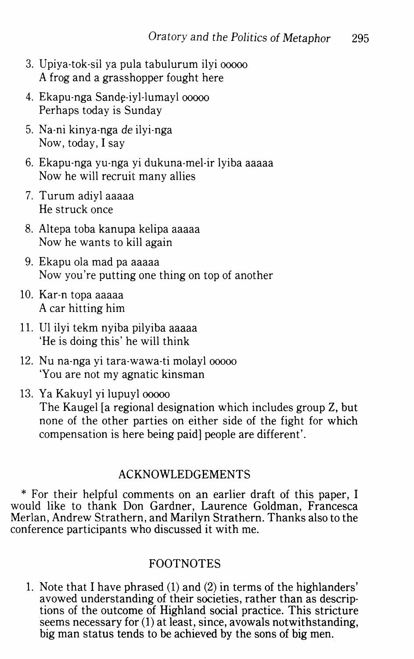- 3. Upiya-tok-sil ya pula tabulurum ilyi ooooo A frog and a grasshopper fought here
- 4. Ekapu-nga Sande-iyl-lumayl 00000 Perhaps today is Sunday
- 5. Na-ni kinya-nga *de* ilyi-nga Now, today, I say
- 6. Ekapu-nga yu-nga yi dukuna-mel-ir lyiba aaaaa Now he will recruit many allies
- 7. Turum adiyl aaaaa He struck once
- 8. Altepa toba kanupa kelipa aaaaa Now he wants to kill again
- 9. Ekapu ola mad pa aaaaa Now you're putting one thing on top of another
- 10. Kar-n topa aaaaa A car hitting him
- 11. Ul ilyi tekm nyiba pilyiba aaaaa 'He is doing this' he will think
- 12. Nu na-nga yi tara-wawa-ti molayl ooooo 'You are not my agnatic kinsman
- 13. Ya Kakuyl yi lupuyl ooooo The Kaugel [a regional designation which includes group Z, but none of the other parties on either side of the fight for which compensation is here being paid] people are different'.

#### ACKNOWLEDGEMENTS

\* For their helpful comments on an earlier draft of this paper, I would like to thank Don Gardner, Laurence Goldman, Francesca Merlan, Andrew Strathern, and Marilyn Strathern. Thanks also to the conference participants who discussed it with me.

### FOOTNOTES

1. Note that I have phrased (1) and (2) in terms of the highlanders' avowed understanding of their societies, rather than as descriptions of the outcome of Highland social practice. This stricture seems necessary for (1) at least, since, avowals notwithstanding, big man status tends to be achieved by the sons of big men.